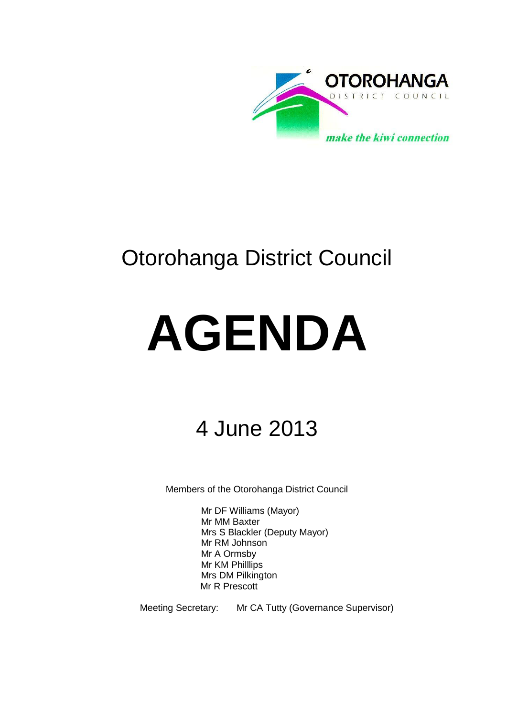

# Otorohanga District Council

# **AGENDA**

# 4 June 2013

Members of the Otorohanga District Council

Mr DF Williams (Mayor) Mr MM Baxter Mrs S Blackler (Deputy Mayor) Mr RM Johnson Mr A Ormsby Mr KM Philllips Mrs DM Pilkington Mr R Prescott

Meeting Secretary: Mr CA Tutty (Governance Supervisor)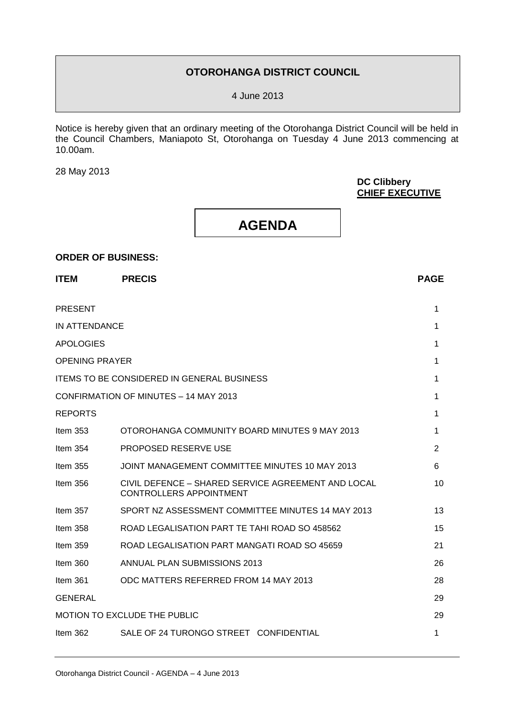#### **OTOROHANGA DISTRICT COUNCIL**

4 June 2013

Notice is hereby given that an ordinary meeting of the Otorohanga District Council will be held in the Council Chambers, Maniapoto St, Otorohanga on Tuesday 4 June 2013 commencing at 10.00am.

28 May 2013

**ORDER OF BUSINESS:**

#### **DC Clibbery CHIEF EXECUTIVE**

## **AGENDA**

# **ITEM PRECIS PAGE** PRESENT 1 IN ATTENDANCE **1** APOLOGIES 2008 12 APOLOGIES 2008 12 APOLOGIES 2008 12 APOLOGIES 2008 12 APOLOGIES 2008 12 APOLOGIES OPENING PRAYER 1 ITEMS TO BE CONSIDERED IN GENERAL BUSINESS 1 CONFIRMATION OF MINUTES – 14 MAY 2013 1 REPORTS 1 Item 353 OTOROHANGA COMMUNITY BOARD MINUTES 9 MAY 2013 2013 Item 354 PROPOSED RESERVE USE 2 Item 355 JOINT MANAGEMENT COMMITTEE MINUTES 10 MAY 2013 6 Item 356 CIVIL DEFENCE – SHARED SERVICE AGREEMENT AND LOCAL CONTROLLERS APPOINTMENT 10 Item 357 SPORT NZ ASSESSMENT COMMITTEE MINUTES 14 MAY 2013 13 Item 358 ROAD LEGALISATION PART TE TAHI ROAD SO 458562 Item 359 ROAD LEGALISATION PART MANGATI ROAD SO 45659 21 Item 360 ANNUAL PLAN SUBMISSIONS 2013 26 Item 361 ODC MATTERS REFERRED FROM 14 MAY 2013 28 GENERAL 29 MOTION TO EXCLUDE THE PUBLIC 29 Item 362 SALE OF 24 TURONGO STREET CONFIDENTIAL 1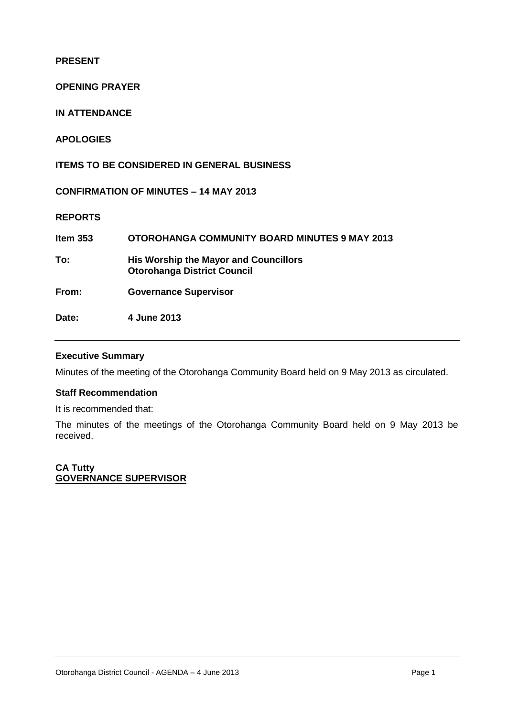**PRESENT**

**OPENING PRAYER**

**IN ATTENDANCE**

**APOLOGIES**

**ITEMS TO BE CONSIDERED IN GENERAL BUSINESS**

**CONFIRMATION OF MINUTES – 14 MAY 2013** 

**REPORTS**

| Item $353$ | <b>OTOROHANGA COMMUNITY BOARD MINUTES 9 MAY 2013</b>                               |
|------------|------------------------------------------------------------------------------------|
| To:        | <b>His Worship the Mayor and Councillors</b><br><b>Otorohanga District Council</b> |
| From:      | <b>Governance Supervisor</b>                                                       |
| Date:      | 4 June 2013                                                                        |

#### **Executive Summary**

Minutes of the meeting of the Otorohanga Community Board held on 9 May 2013 as circulated.

#### **Staff Recommendation**

It is recommended that:

The minutes of the meetings of the Otorohanga Community Board held on 9 May 2013 be received.

**CA Tutty GOVERNANCE SUPERVISOR**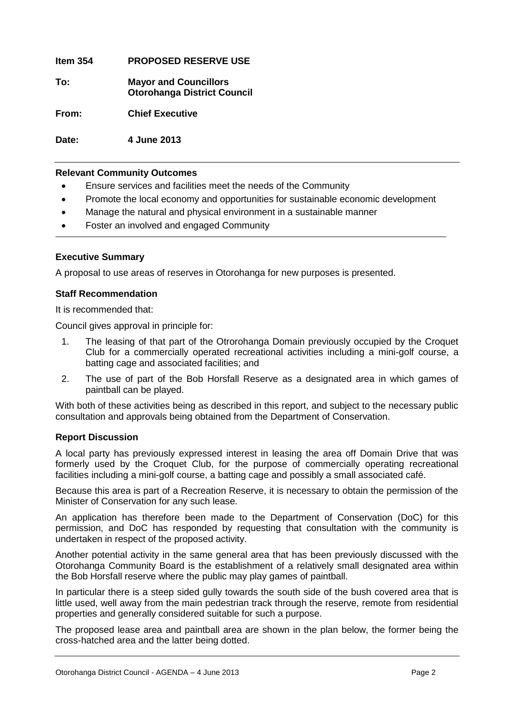**Item 354 PROPOSED RESERVE USE To: Mayor and Councillors Otorohanga District Council From: Chief Executive**

**Date: 4 June 2013**

#### **Relevant Community Outcomes**

- Ensure services and facilities meet the needs of the Community
- Promote the local economy and opportunities for sustainable economic development
- Manage the natural and physical environment in a sustainable manner
- Foster an involved and engaged Community

#### **Executive Summary**

A proposal to use areas of reserves in Otorohanga for new purposes is presented.

#### **Staff Recommendation**

It is recommended that:

Council gives approval in principle for:

- 1. The leasing of that part of the Otrorohanga Domain previously occupied by the Croquet Club for a commercially operated recreational activities including a mini-golf course, a batting cage and associated facilities; and
- 2. The use of part of the Bob Horsfall Reserve as a designated area in which games of paintball can be played.

With both of these activities being as described in this report, and subject to the necessary public consultation and approvals being obtained from the Department of Conservation.

#### **Report Discussion**

A local party has previously expressed interest in leasing the area off Domain Drive that was formerly used by the Croquet Club, for the purpose of commercially operating recreational facilities including a mini-golf course, a batting cage and possibly a small associated café.

Because this area is part of a Recreation Reserve, it is necessary to obtain the permission of the Minister of Conservation for any such lease.

An application has therefore been made to the Department of Conservation (DoC) for this permission, and DoC has responded by requesting that consultation with the community is undertaken in respect of the proposed activity.

Another potential activity in the same general area that has been previously discussed with the Otorohanga Community Board is the establishment of a relatively small designated area within the Bob Horsfall reserve where the public may play games of paintball.

In particular there is a steep sided gully towards the south side of the bush covered area that is little used, well away from the main pedestrian track through the reserve, remote from residential properties and generally considered suitable for such a purpose.

The proposed lease area and paintball area are shown in the plan below, the former being the cross-hatched area and the latter being dotted.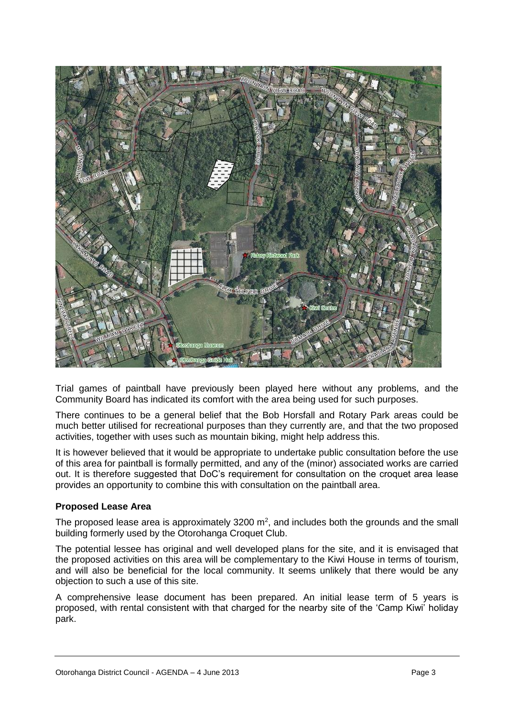

Trial games of paintball have previously been played here without any problems, and the Community Board has indicated its comfort with the area being used for such purposes.

There continues to be a general belief that the Bob Horsfall and Rotary Park areas could be much better utilised for recreational purposes than they currently are, and that the two proposed activities, together with uses such as mountain biking, might help address this.

It is however believed that it would be appropriate to undertake public consultation before the use of this area for paintball is formally permitted, and any of the (minor) associated works are carried out. It is therefore suggested that DoC's requirement for consultation on the croquet area lease provides an opportunity to combine this with consultation on the paintball area.

#### **Proposed Lease Area**

The proposed lease area is approximately 3200  $m^2$ , and includes both the grounds and the small building formerly used by the Otorohanga Croquet Club.

The potential lessee has original and well developed plans for the site, and it is envisaged that the proposed activities on this area will be complementary to the Kiwi House in terms of tourism, and will also be beneficial for the local community. It seems unlikely that there would be any objection to such a use of this site.

A comprehensive lease document has been prepared. An initial lease term of 5 years is proposed, with rental consistent with that charged for the nearby site of the 'Camp Kiwi' holiday park.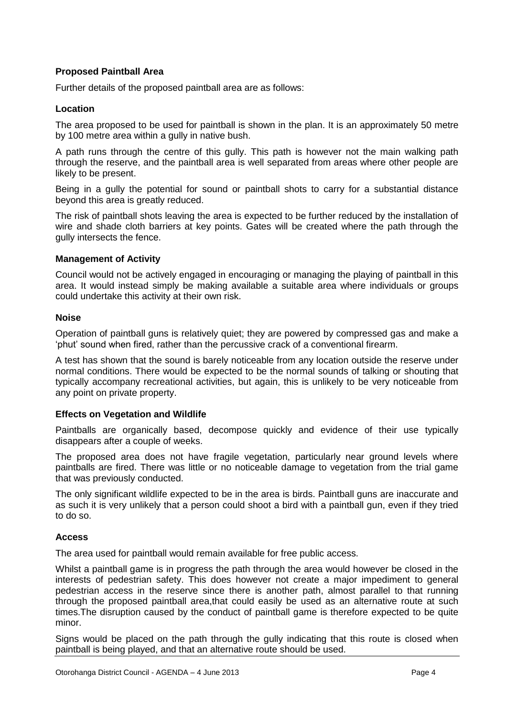#### **Proposed Paintball Area**

Further details of the proposed paintball area are as follows:

#### **Location**

The area proposed to be used for paintball is shown in the plan. It is an approximately 50 metre by 100 metre area within a gully in native bush.

A path runs through the centre of this gully. This path is however not the main walking path through the reserve, and the paintball area is well separated from areas where other people are likely to be present.

Being in a gully the potential for sound or paintball shots to carry for a substantial distance beyond this area is greatly reduced.

The risk of paintball shots leaving the area is expected to be further reduced by the installation of wire and shade cloth barriers at key points. Gates will be created where the path through the gully intersects the fence.

#### **Management of Activity**

Council would not be actively engaged in encouraging or managing the playing of paintball in this area. It would instead simply be making available a suitable area where individuals or groups could undertake this activity at their own risk.

#### **Noise**

Operation of paintball guns is relatively quiet; they are powered by compressed gas and make a 'phut' sound when fired, rather than the percussive crack of a conventional firearm.

A test has shown that the sound is barely noticeable from any location outside the reserve under normal conditions. There would be expected to be the normal sounds of talking or shouting that typically accompany recreational activities, but again, this is unlikely to be very noticeable from any point on private property.

#### **Effects on Vegetation and Wildlife**

Paintballs are organically based, decompose quickly and evidence of their use typically disappears after a couple of weeks.

The proposed area does not have fragile vegetation, particularly near ground levels where paintballs are fired. There was little or no noticeable damage to vegetation from the trial game that was previously conducted.

The only significant wildlife expected to be in the area is birds. Paintball guns are inaccurate and as such it is very unlikely that a person could shoot a bird with a paintball gun, even if they tried to do so.

#### **Access**

The area used for paintball would remain available for free public access.

Whilst a paintball game is in progress the path through the area would however be closed in the interests of pedestrian safety. This does however not create a major impediment to general pedestrian access in the reserve since there is another path, almost parallel to that running through the proposed paintball area,that could easily be used as an alternative route at such times.The disruption caused by the conduct of paintball game is therefore expected to be quite minor.

Signs would be placed on the path through the gully indicating that this route is closed when paintball is being played, and that an alternative route should be used.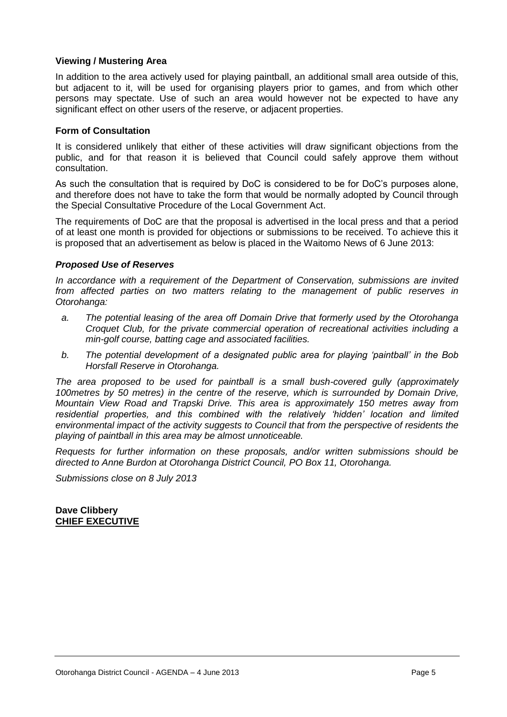#### **Viewing / Mustering Area**

In addition to the area actively used for playing paintball, an additional small area outside of this, but adjacent to it, will be used for organising players prior to games, and from which other persons may spectate. Use of such an area would however not be expected to have any significant effect on other users of the reserve, or adjacent properties.

#### **Form of Consultation**

It is considered unlikely that either of these activities will draw significant objections from the public, and for that reason it is believed that Council could safely approve them without consultation.

As such the consultation that is required by DoC is considered to be for DoC's purposes alone, and therefore does not have to take the form that would be normally adopted by Council through the Special Consultative Procedure of the Local Government Act.

The requirements of DoC are that the proposal is advertised in the local press and that a period of at least one month is provided for objections or submissions to be received. To achieve this it is proposed that an advertisement as below is placed in the Waitomo News of 6 June 2013:

#### *Proposed Use of Reserves*

*In accordance with a requirement of the Department of Conservation, submissions are invited from affected parties on two matters relating to the management of public reserves in Otorohanga:*

- *a. The potential leasing of the area off Domain Drive that formerly used by the Otorohanga Croquet Club, for the private commercial operation of recreational activities including a min-golf course, batting cage and associated facilities.*
- *b. The potential development of a designated public area for playing 'paintball' in the Bob Horsfall Reserve in Otorohanga.*

*The area proposed to be used for paintball is a small bush-covered gully (approximately 100metres by 50 metres) in the centre of the reserve, which is surrounded by Domain Drive, Mountain View Road and Trapski Drive. This area is approximately 150 metres away from residential properties, and this combined with the relatively 'hidden' location and limited environmental impact of the activity suggests to Council that from the perspective of residents the playing of paintball in this area may be almost unnoticeable.*

*Requests for further information on these proposals, and/or written submissions should be directed to Anne Burdon at Otorohanga District Council, PO Box 11, Otorohanga.*

*Submissions close on 8 July 2013* 

**Dave Clibbery CHIEF EXECUTIVE**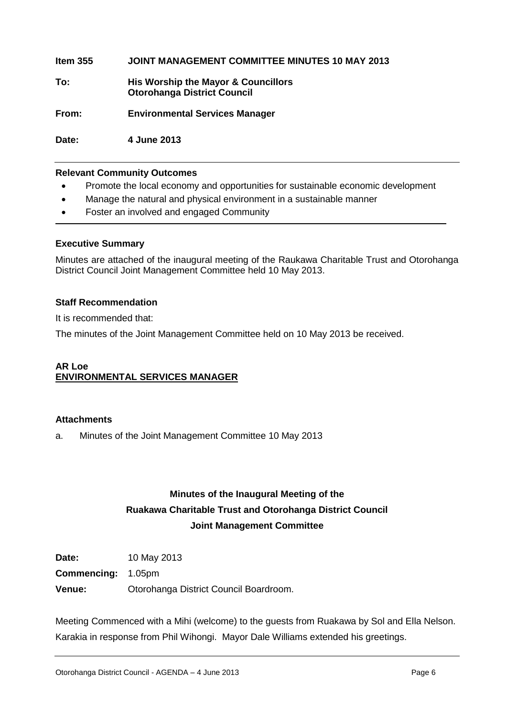**Item 355 JOINT MANAGEMENT COMMITTEE MINUTES 10 MAY 2013 To: His Worship the Mayor & Councillors Otorohanga District Council From: Environmental Services Manager**

**Date: 4 June 2013** 

#### **Relevant Community Outcomes**

- Promote the local economy and opportunities for sustainable economic development
- Manage the natural and physical environment in a sustainable manner
- Foster an involved and engaged Community

#### **Executive Summary**

Minutes are attached of the inaugural meeting of the Raukawa Charitable Trust and Otorohanga District Council Joint Management Committee held 10 May 2013.

#### **Staff Recommendation**

It is recommended that:

The minutes of the Joint Management Committee held on 10 May 2013 be received.

#### **AR Loe ENVIRONMENTAL SERVICES MANAGER**

#### **Attachments**

a. Minutes of the Joint Management Committee 10 May 2013

### **Minutes of the Inaugural Meeting of the Ruakawa Charitable Trust and Otorohanga District Council Joint Management Committee**

**Date:** 10 May 2013

**Commencing:** 1.05pm

**Venue:** Otorohanga District Council Boardroom.

Meeting Commenced with a Mihi (welcome) to the guests from Ruakawa by Sol and Ella Nelson. Karakia in response from Phil Wihongi. Mayor Dale Williams extended his greetings.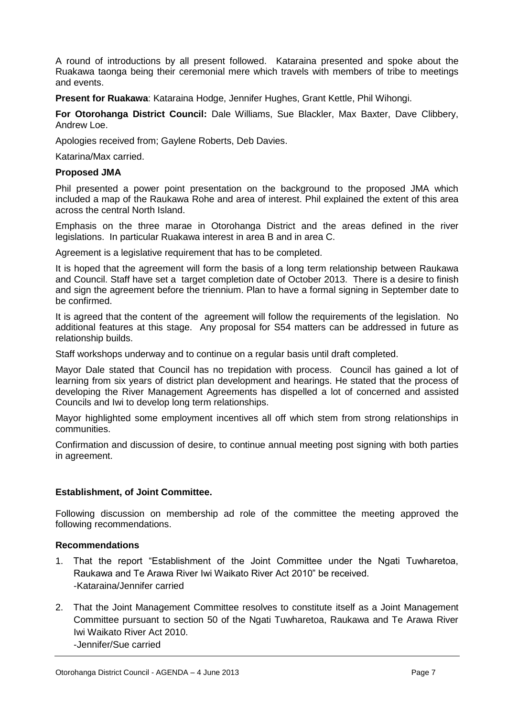A round of introductions by all present followed. Kataraina presented and spoke about the Ruakawa taonga being their ceremonial mere which travels with members of tribe to meetings and events.

**Present for Ruakawa**: Kataraina Hodge, Jennifer Hughes, Grant Kettle, Phil Wihongi.

**For Otorohanga District Council:** Dale Williams, Sue Blackler, Max Baxter, Dave Clibbery, Andrew Loe.

Apologies received from; Gaylene Roberts, Deb Davies.

Katarina/Max carried.

#### **Proposed JMA**

Phil presented a power point presentation on the background to the proposed JMA which included a map of the Raukawa Rohe and area of interest. Phil explained the extent of this area across the central North Island.

Emphasis on the three marae in Otorohanga District and the areas defined in the river legislations. In particular Ruakawa interest in area B and in area C.

Agreement is a legislative requirement that has to be completed.

It is hoped that the agreement will form the basis of a long term relationship between Raukawa and Council. Staff have set a target completion date of October 2013. There is a desire to finish and sign the agreement before the triennium. Plan to have a formal signing in September date to be confirmed.

It is agreed that the content of the agreement will follow the requirements of the legislation. No additional features at this stage. Any proposal for S54 matters can be addressed in future as relationship builds.

Staff workshops underway and to continue on a regular basis until draft completed.

Mayor Dale stated that Council has no trepidation with process. Council has gained a lot of learning from six years of district plan development and hearings. He stated that the process of developing the River Management Agreements has dispelled a lot of concerned and assisted Councils and Iwi to develop long term relationships.

Mayor highlighted some employment incentives all off which stem from strong relationships in communities.

Confirmation and discussion of desire, to continue annual meeting post signing with both parties in agreement.

#### **Establishment, of Joint Committee.**

Following discussion on membership ad role of the committee the meeting approved the following recommendations.

#### **Recommendations**

- 1. That the report "Establishment of the Joint Committee under the Ngati Tuwharetoa, Raukawa and Te Arawa River Iwi Waikato River Act 2010" be received. -Kataraina/Jennifer carried
- 2. That the Joint Management Committee resolves to constitute itself as a Joint Management Committee pursuant to section 50 of the Ngati Tuwharetoa, Raukawa and Te Arawa River Iwi Waikato River Act 2010.

-Jennifer/Sue carried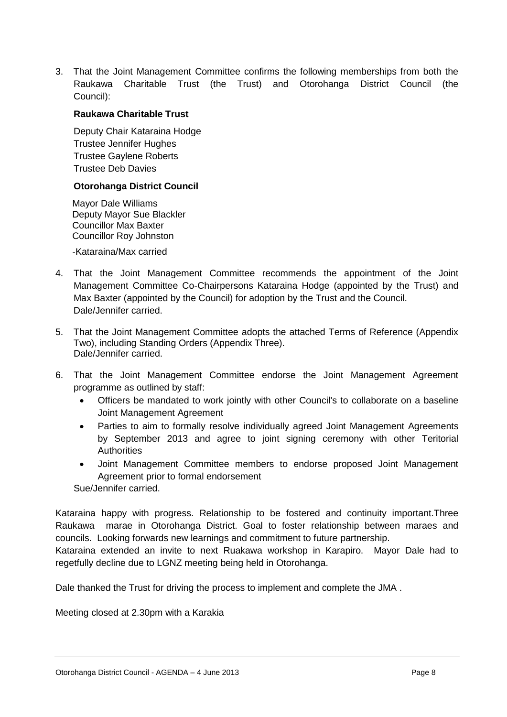3. That the Joint Management Committee confirms the following memberships from both the Raukawa Charitable Trust (the Trust) and Otorohanga District Council (the Council):

#### **Raukawa Charitable Trust**

Deputy Chair Kataraina Hodge Trustee Jennifer Hughes Trustee Gaylene Roberts Trustee Deb Davies

#### **Otorohanga District Council**

Mayor Dale Williams Deputy Mayor Sue Blackler Councillor Max Baxter Councillor Roy Johnston

-Kataraina/Max carried

- 4. That the Joint Management Committee recommends the appointment of the Joint Management Committee Co-Chairpersons Kataraina Hodge (appointed by the Trust) and Max Baxter (appointed by the Council) for adoption by the Trust and the Council. Dale/Jennifer carried.
- 5. That the Joint Management Committee adopts the attached Terms of Reference (Appendix Two), including Standing Orders (Appendix Three). Dale/Jennifer carried.
- 6. That the Joint Management Committee endorse the Joint Management Agreement programme as outlined by staff:
	- Officers be mandated to work jointly with other Council's to collaborate on a baseline Joint Management Agreement
	- Parties to aim to formally resolve individually agreed Joint Management Agreements by September 2013 and agree to joint signing ceremony with other Teritorial **Authorities**
	- Joint Management Committee members to endorse proposed Joint Management Agreement prior to formal endorsement

Sue/Jennifer carried.

Kataraina happy with progress. Relationship to be fostered and continuity important.Three Raukawa marae in Otorohanga District. Goal to foster relationship between maraes and councils. Looking forwards new learnings and commitment to future partnership.

Kataraina extended an invite to next Ruakawa workshop in Karapiro. Mayor Dale had to regetfully decline due to LGNZ meeting being held in Otorohanga.

Dale thanked the Trust for driving the process to implement and complete the JMA .

Meeting closed at 2.30pm with a Karakia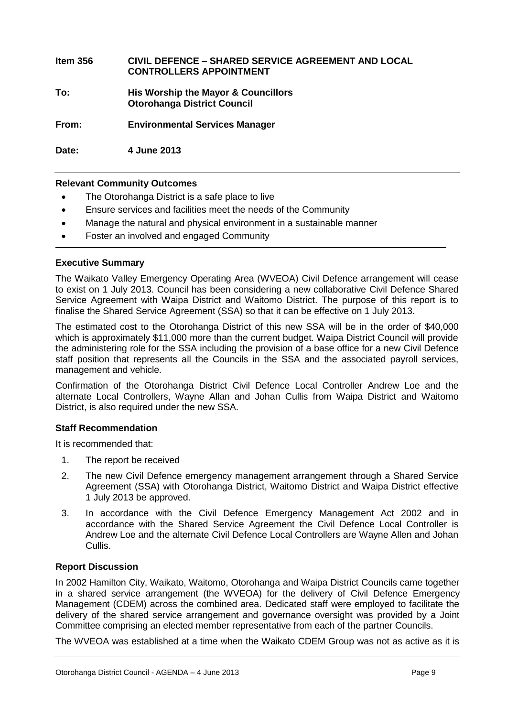| Item 356 | <b>CIVIL DEFENCE - SHARED SERVICE AGREEMENT AND LOCAL</b><br><b>CONTROLLERS APPOINTMENT</b> |
|----------|---------------------------------------------------------------------------------------------|
| To:      | His Worship the Mayor & Councillors<br><b>Otorohanga District Council</b>                   |
| From:    | <b>Environmental Services Manager</b>                                                       |
| Date:    | 4 June 2013                                                                                 |

#### **Relevant Community Outcomes**

- The Otorohanga District is a safe place to live
- Ensure services and facilities meet the needs of the Community
- Manage the natural and physical environment in a sustainable manner
- Foster an involved and engaged Community

#### **Executive Summary**

The Waikato Valley Emergency Operating Area (WVEOA) Civil Defence arrangement will cease to exist on 1 July 2013. Council has been considering a new collaborative Civil Defence Shared Service Agreement with Waipa District and Waitomo District. The purpose of this report is to finalise the Shared Service Agreement (SSA) so that it can be effective on 1 July 2013.

The estimated cost to the Otorohanga District of this new SSA will be in the order of \$40,000 which is approximately \$11,000 more than the current budget. Waipa District Council will provide the administering role for the SSA including the provision of a base office for a new Civil Defence staff position that represents all the Councils in the SSA and the associated payroll services, management and vehicle.

Confirmation of the Otorohanga District Civil Defence Local Controller Andrew Loe and the alternate Local Controllers, Wayne Allan and Johan Cullis from Waipa District and Waitomo District, is also required under the new SSA.

#### **Staff Recommendation**

It is recommended that:

- 1. The report be received
- 2. The new Civil Defence emergency management arrangement through a Shared Service Agreement (SSA) with Otorohanga District, Waitomo District and Waipa District effective 1 July 2013 be approved.
- 3. In accordance with the Civil Defence Emergency Management Act 2002 and in accordance with the Shared Service Agreement the Civil Defence Local Controller is Andrew Loe and the alternate Civil Defence Local Controllers are Wayne Allen and Johan Cullis.

#### **Report Discussion**

In 2002 Hamilton City, Waikato, Waitomo, Otorohanga and Waipa District Councils came together in a shared service arrangement (the WVEOA) for the delivery of Civil Defence Emergency Management (CDEM) across the combined area. Dedicated staff were employed to facilitate the delivery of the shared service arrangement and governance oversight was provided by a Joint Committee comprising an elected member representative from each of the partner Councils.

The WVEOA was established at a time when the Waikato CDEM Group was not as active as it is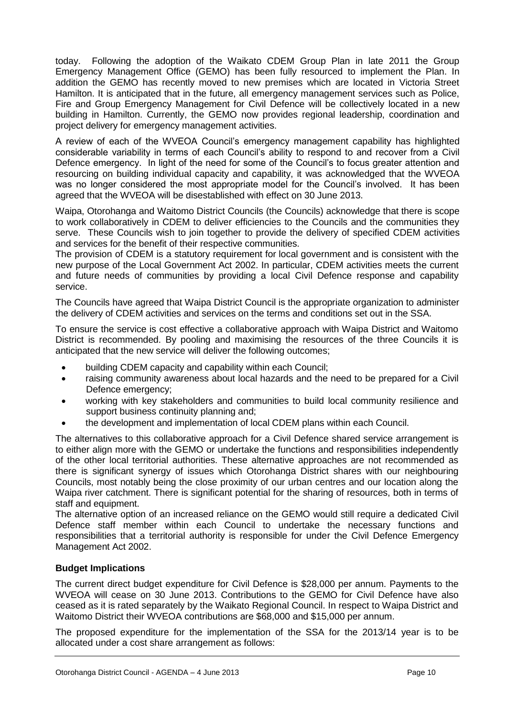today. Following the adoption of the Waikato CDEM Group Plan in late 2011 the Group Emergency Management Office (GEMO) has been fully resourced to implement the Plan. In addition the GEMO has recently moved to new premises which are located in Victoria Street Hamilton. It is anticipated that in the future, all emergency management services such as Police, Fire and Group Emergency Management for Civil Defence will be collectively located in a new building in Hamilton. Currently, the GEMO now provides regional leadership, coordination and project delivery for emergency management activities.

A review of each of the WVEOA Council's emergency management capability has highlighted considerable variability in terms of each Council's ability to respond to and recover from a Civil Defence emergency. In light of the need for some of the Council's to focus greater attention and resourcing on building individual capacity and capability, it was acknowledged that the WVEOA was no longer considered the most appropriate model for the Council's involved. It has been agreed that the WVEOA will be disestablished with effect on 30 June 2013.

Waipa, Otorohanga and Waitomo District Councils (the Councils) acknowledge that there is scope to work collaboratively in CDEM to deliver efficiencies to the Councils and the communities they serve. These Councils wish to join together to provide the delivery of specified CDEM activities and services for the benefit of their respective communities.

The provision of CDEM is a statutory requirement for local government and is consistent with the new purpose of the Local Government Act 2002. In particular, CDEM activities meets the current and future needs of communities by providing a local Civil Defence response and capability service.

The Councils have agreed that Waipa District Council is the appropriate organization to administer the delivery of CDEM activities and services on the terms and conditions set out in the SSA.

To ensure the service is cost effective a collaborative approach with Waipa District and Waitomo District is recommended. By pooling and maximising the resources of the three Councils it is anticipated that the new service will deliver the following outcomes;

- building CDEM capacity and capability within each Council;
- raising community awareness about local hazards and the need to be prepared for a Civil Defence emergency;
- working with key stakeholders and communities to build local community resilience and support business continuity planning and;
- the development and implementation of local CDEM plans within each Council.

The alternatives to this collaborative approach for a Civil Defence shared service arrangement is to either align more with the GEMO or undertake the functions and responsibilities independently of the other local territorial authorities. These alternative approaches are not recommended as there is significant synergy of issues which Otorohanga District shares with our neighbouring Councils, most notably being the close proximity of our urban centres and our location along the Waipa river catchment. There is significant potential for the sharing of resources, both in terms of staff and equipment.

The alternative option of an increased reliance on the GEMO would still require a dedicated Civil Defence staff member within each Council to undertake the necessary functions and responsibilities that a territorial authority is responsible for under the Civil Defence Emergency Management Act 2002.

#### **Budget Implications**

The current direct budget expenditure for Civil Defence is \$28,000 per annum. Payments to the WVEOA will cease on 30 June 2013. Contributions to the GEMO for Civil Defence have also ceased as it is rated separately by the Waikato Regional Council. In respect to Waipa District and Waitomo District their WVEOA contributions are \$68,000 and \$15,000 per annum.

The proposed expenditure for the implementation of the SSA for the 2013/14 year is to be allocated under a cost share arrangement as follows: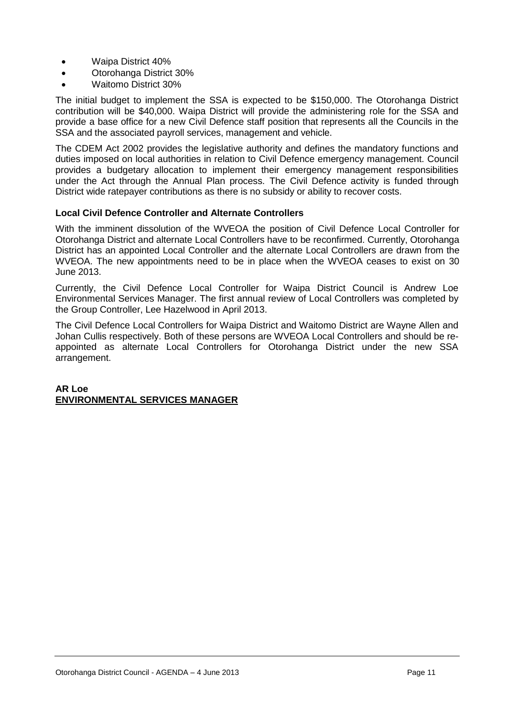- Waipa District 40%
- Otorohanga District 30%
- Waitomo District 30%

The initial budget to implement the SSA is expected to be \$150,000. The Otorohanga District contribution will be \$40,000. Waipa District will provide the administering role for the SSA and provide a base office for a new Civil Defence staff position that represents all the Councils in the SSA and the associated payroll services, management and vehicle.

The CDEM Act 2002 provides the legislative authority and defines the mandatory functions and duties imposed on local authorities in relation to Civil Defence emergency management. Council provides a budgetary allocation to implement their emergency management responsibilities under the Act through the Annual Plan process. The Civil Defence activity is funded through District wide ratepayer contributions as there is no subsidy or ability to recover costs.

#### **Local Civil Defence Controller and Alternate Controllers**

With the imminent dissolution of the WVEOA the position of Civil Defence Local Controller for Otorohanga District and alternate Local Controllers have to be reconfirmed. Currently, Otorohanga District has an appointed Local Controller and the alternate Local Controllers are drawn from the WVEOA. The new appointments need to be in place when the WVEOA ceases to exist on 30 June 2013.

Currently, the Civil Defence Local Controller for Waipa District Council is Andrew Loe Environmental Services Manager. The first annual review of Local Controllers was completed by the Group Controller, Lee Hazelwood in April 2013.

The Civil Defence Local Controllers for Waipa District and Waitomo District are Wayne Allen and Johan Cullis respectively. Both of these persons are WVEOA Local Controllers and should be reappointed as alternate Local Controllers for Otorohanga District under the new SSA arrangement.

#### **AR Loe ENVIRONMENTAL SERVICES MANAGER**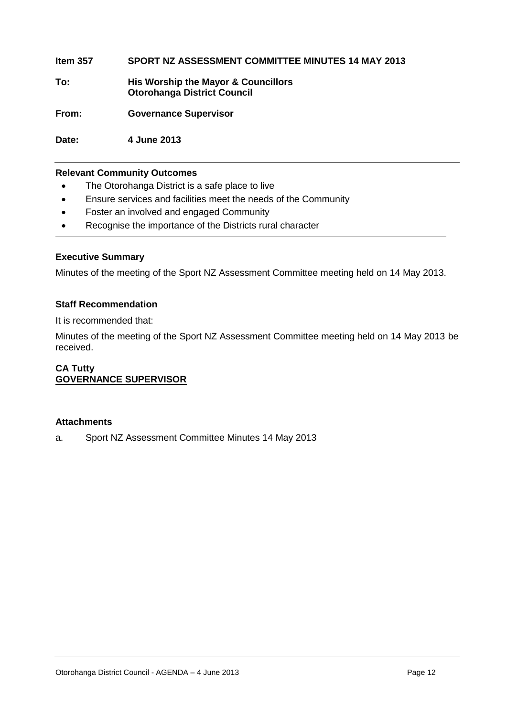**Item 357 SPORT NZ ASSESSMENT COMMITTEE MINUTES 14 MAY 2013 To: His Worship the Mayor & Councillors Otorohanga District Council From: Governance Supervisor**

**Date: 4 June 2013**

#### **Relevant Community Outcomes**

- The Otorohanga District is a safe place to live
- Ensure services and facilities meet the needs of the Community
- Foster an involved and engaged Community
- Recognise the importance of the Districts rural character

#### **Executive Summary**

Minutes of the meeting of the Sport NZ Assessment Committee meeting held on 14 May 2013.

#### **Staff Recommendation**

It is recommended that:

Minutes of the meeting of the Sport NZ Assessment Committee meeting held on 14 May 2013 be received.

#### **CA Tutty GOVERNANCE SUPERVISOR**

#### **Attachments**

a. Sport NZ Assessment Committee Minutes 14 May 2013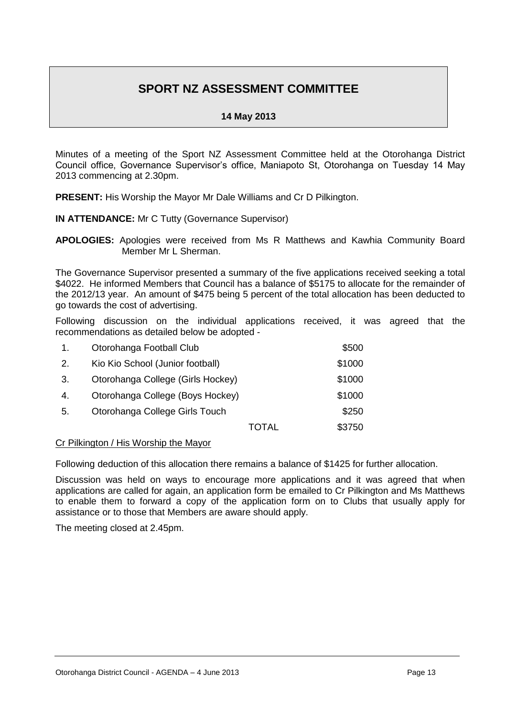## **SPORT NZ ASSESSMENT COMMITTEE**

#### **14 May 2013**

Minutes of a meeting of the Sport NZ Assessment Committee held at the Otorohanga District Council office, Governance Supervisor's office, Maniapoto St, Otorohanga on Tuesday 14 May 2013 commencing at 2.30pm.

**PRESENT:** His Worship the Mayor Mr Dale Williams and Cr D Pilkington.

#### **IN ATTENDANCE:** Mr C Tutty (Governance Supervisor)

**APOLOGIES:** Apologies were received from Ms R Matthews and Kawhia Community Board Member Mr L Sherman.

The Governance Supervisor presented a summary of the five applications received seeking a total \$4022. He informed Members that Council has a balance of \$5175 to allocate for the remainder of the 2012/13 year. An amount of \$475 being 5 percent of the total allocation has been deducted to go towards the cost of advertising.

Following discussion on the individual applications received, it was agreed that the recommendations as detailed below be adopted -

| 1. | Otorohanga Football Club          |       | \$500  |
|----|-----------------------------------|-------|--------|
| 2. | Kio Kio School (Junior football)  |       | \$1000 |
| 3. | Otorohanga College (Girls Hockey) |       | \$1000 |
| 4. | Otorohanga College (Boys Hockey)  |       | \$1000 |
| 5. | Otorohanga College Girls Touch    |       | \$250  |
|    |                                   | TOTAL | \$3750 |

#### Cr Pilkington / His Worship the Mayor

Following deduction of this allocation there remains a balance of \$1425 for further allocation.

Discussion was held on ways to encourage more applications and it was agreed that when applications are called for again, an application form be emailed to Cr Pilkington and Ms Matthews to enable them to forward a copy of the application form on to Clubs that usually apply for assistance or to those that Members are aware should apply.

The meeting closed at 2.45pm.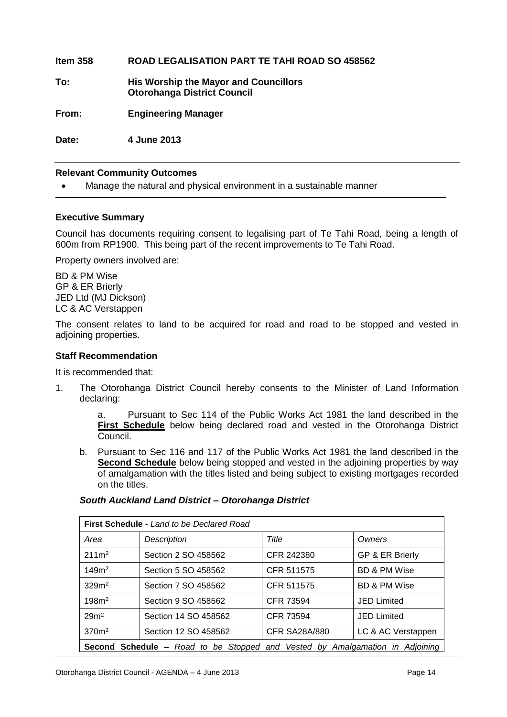**Item 358 ROAD LEGALISATION PART TE TAHI ROAD SO 458562 To: His Worship the Mayor and Councillors Otorohanga District Council From: Engineering Manager**

**Date: 4 June 2013**

#### **Relevant Community Outcomes**

Manage the natural and physical environment in a sustainable manner

#### **Executive Summary**

Council has documents requiring consent to legalising part of Te Tahi Road, being a length of 600m from RP1900. This being part of the recent improvements to Te Tahi Road.

Property owners involved are:

BD & PM Wise GP & ER Brierly JED Ltd (MJ Dickson) LC & AC Verstappen

The consent relates to land to be acquired for road and road to be stopped and vested in adjoining properties.

#### **Staff Recommendation**

It is recommended that:

1. The Otorohanga District Council hereby consents to the Minister of Land Information declaring:

> a. Pursuant to Sec 114 of the Public Works Act 1981 the land described in the **First Schedule** below being declared road and vested in the Otorohanga District Council.

b. Pursuant to Sec 116 and 117 of the Public Works Act 1981 the land described in the **Second Schedule** below being stopped and vested in the adjoining properties by way of amalgamation with the titles listed and being subject to existing mortgages recorded on the titles.

| <b>First Schedule - Land to be Declared Road</b>                                    |                      |                      |                         |
|-------------------------------------------------------------------------------------|----------------------|----------------------|-------------------------|
| Area                                                                                | Description          | Title                | Owners                  |
| $211m^2$                                                                            | Section 2 SO 458562  | CFR 242380           | GP & ER Brierly         |
| 149m <sup>2</sup>                                                                   | Section 5 SO 458562  | CFR 511575           | <b>BD &amp; PM Wise</b> |
| 329m <sup>2</sup>                                                                   | Section 7 SO 458562  | CFR 511575           | <b>BD &amp; PM Wise</b> |
| 198m <sup>2</sup>                                                                   | Section 9 SO 458562  | CFR 73594            | <b>JED Limited</b>      |
| 29 <sup>m²</sup>                                                                    | Section 14 SO 458562 | CFR 73594            | <b>JED Limited</b>      |
| 370 <sup>m²</sup>                                                                   | Section 12 SO 458562 | <b>CFR SA28A/880</b> | LC & AC Verstappen      |
| <b>Second Schedule</b> – Road to be Stopped and Vested by Amalgamation in Adjoining |                      |                      |                         |

#### *South Auckland Land District – Otorohanga District*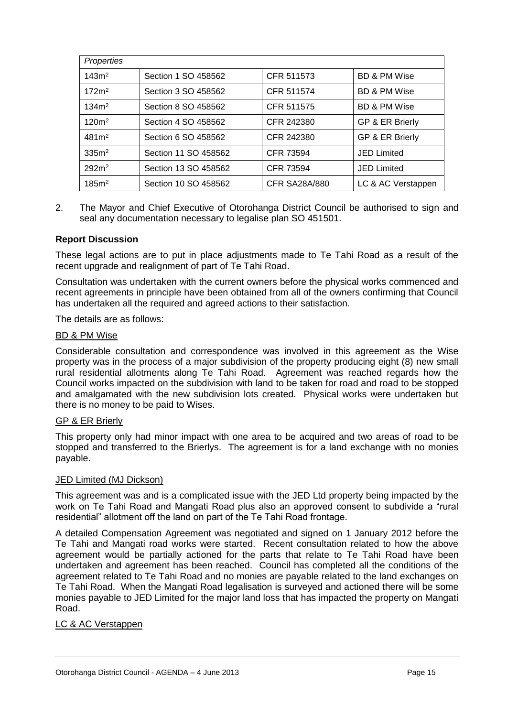| Properties        |                      |                      |                            |
|-------------------|----------------------|----------------------|----------------------------|
| 143m <sup>2</sup> | Section 1 SO 458562  | CFR 511573           | <b>BD &amp; PM Wise</b>    |
| 172m <sup>2</sup> | Section 3 SO 458562  | CFR 511574           | <b>BD &amp; PM Wise</b>    |
| 134m <sup>2</sup> | Section 8 SO 458562  | CFR 511575           | <b>BD &amp; PM Wise</b>    |
| $120m^2$          | Section 4 SO 458562  | CFR 242380           | GP & ER Brierly            |
| 481 <sup>m²</sup> | Section 6 SO 458562  | CFR 242380           | <b>GP &amp; ER Brierly</b> |
| 335m <sup>2</sup> | Section 11 SO 458562 | CFR 73594            | <b>JED Limited</b>         |
| 292m <sup>2</sup> | Section 13 SO 458562 | CFR 73594            | <b>JED Limited</b>         |
| 185m <sup>2</sup> | Section 10 SO 458562 | <b>CFR SA28A/880</b> | LC & AC Verstappen         |

2. The Mayor and Chief Executive of Otorohanga District Council be authorised to sign and seal any documentation necessary to legalise plan SO 451501.

#### **Report Discussion**

These legal actions are to put in place adjustments made to Te Tahi Road as a result of the recent upgrade and realignment of part of Te Tahi Road.

Consultation was undertaken with the current owners before the physical works commenced and recent agreements in principle have been obtained from all of the owners confirming that Council has undertaken all the required and agreed actions to their satisfaction.

The details are as follows:

#### BD & PM Wise

Considerable consultation and correspondence was involved in this agreement as the Wise property was in the process of a major subdivision of the property producing eight (8) new small rural residential allotments along Te Tahi Road. Agreement was reached regards how the Council works impacted on the subdivision with land to be taken for road and road to be stopped and amalgamated with the new subdivision lots created. Physical works were undertaken but there is no money to be paid to Wises.

#### GP & ER Brierly

This property only had minor impact with one area to be acquired and two areas of road to be stopped and transferred to the Brierlys. The agreement is for a land exchange with no monies payable.

#### JED Limited (MJ Dickson)

This agreement was and is a complicated issue with the JED Ltd property being impacted by the work on Te Tahi Road and Mangati Road plus also an approved consent to subdivide a "rural residential" allotment off the land on part of the Te Tahi Road frontage.

A detailed Compensation Agreement was negotiated and signed on 1 January 2012 before the Te Tahi and Mangati road works were started. Recent consultation related to how the above agreement would be partially actioned for the parts that relate to Te Tahi Road have been undertaken and agreement has been reached. Council has completed all the conditions of the agreement related to Te Tahi Road and no monies are payable related to the land exchanges on Te Tahi Road. When the Mangati Road legalisation is surveyed and actioned there will be some monies payable to JED Limited for the major land loss that has impacted the property on Mangati Road.

#### LC & AC Verstappen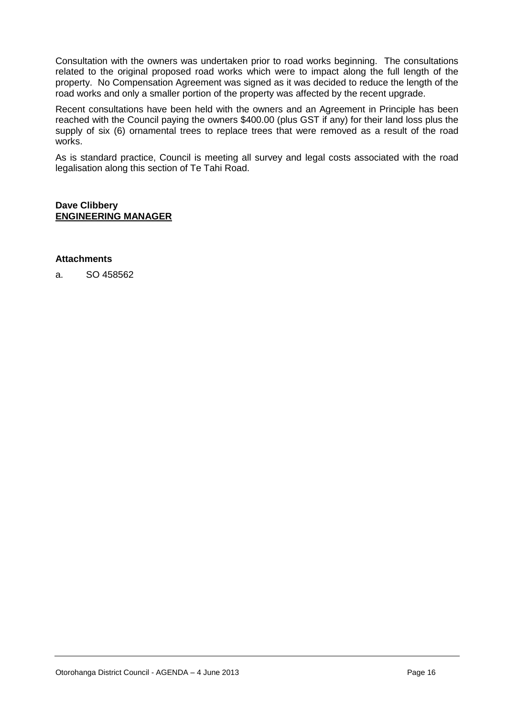Consultation with the owners was undertaken prior to road works beginning. The consultations related to the original proposed road works which were to impact along the full length of the property. No Compensation Agreement was signed as it was decided to reduce the length of the road works and only a smaller portion of the property was affected by the recent upgrade.

Recent consultations have been held with the owners and an Agreement in Principle has been reached with the Council paying the owners \$400.00 (plus GST if any) for their land loss plus the supply of six (6) ornamental trees to replace trees that were removed as a result of the road works.

As is standard practice, Council is meeting all survey and legal costs associated with the road legalisation along this section of Te Tahi Road.

#### **Dave Clibbery ENGINEERING MANAGER**

#### **Attachments**

a. SO 458562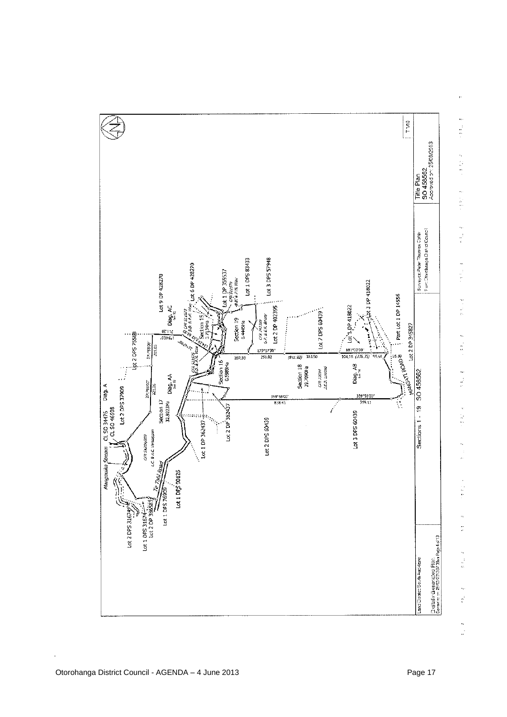

 $\ddot{ }$ 经总额  $\ddot{\phantom{0}}$  $\frac{1}{\sqrt{2}}$  $\frac{1}{2}$  $\frac{1}{2}$ ķ,  $\begin{array}{c}\n1 \\
2 \\
3 \\
4\n\end{array}$  $\frac{1}{2}$  $\hat{\mathcal{N}}$  $\frac{1}{n}$ ŀ,  $\begin{bmatrix} 1 \\ 2 \\ 3 \\ 4 \\ 5 \end{bmatrix}$ l,  $\frac{1}{\sqrt{2}}$ ŀ, تا<br>دە Ą,  $\mathbb{C}$  $\ddot{\phantom{0}}$  $\mathbf{r}$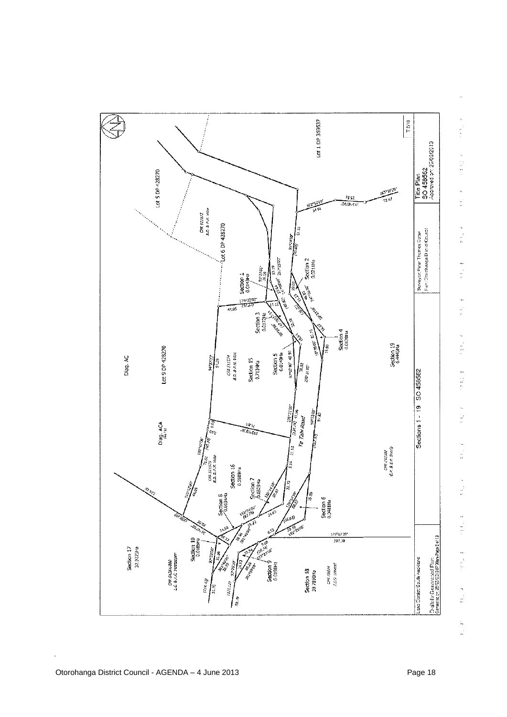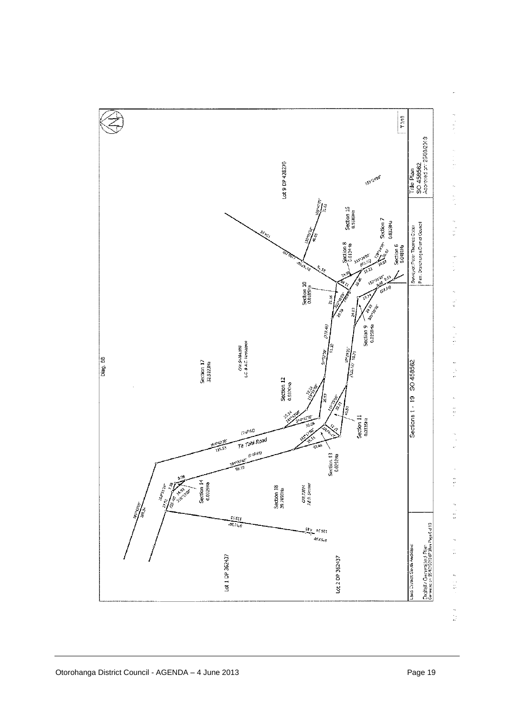

 $\frac{1}{2}$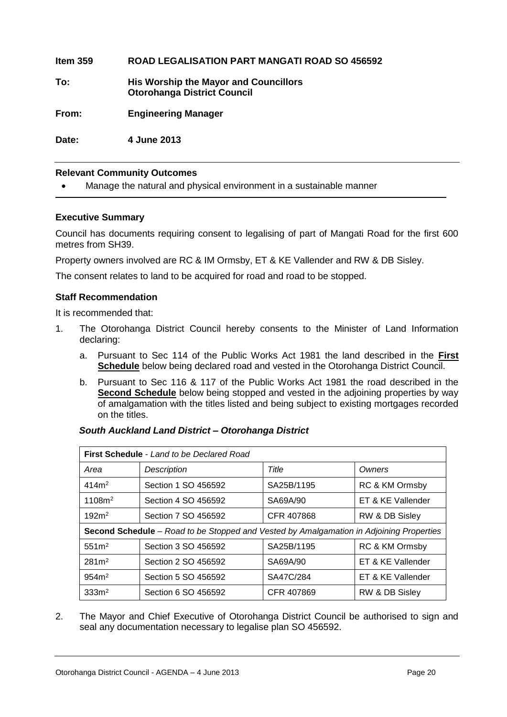**Item 359 ROAD LEGALISATION PART MANGATI ROAD SO 456592 To: His Worship the Mayor and Councillors Otorohanga District Council From: Engineering Manager Date: 4 June 2013**

#### **Relevant Community Outcomes**

Manage the natural and physical environment in a sustainable manner

#### **Executive Summary**

Council has documents requiring consent to legalising of part of Mangati Road for the first 600 metres from SH39.

Property owners involved are RC & IM Ormsby, ET & KE Vallender and RW & DB Sisley.

The consent relates to land to be acquired for road and road to be stopped.

#### **Staff Recommendation**

It is recommended that:

- 1. The Otorohanga District Council hereby consents to the Minister of Land Information declaring:
	- a. Pursuant to Sec 114 of the Public Works Act 1981 the land described in the **First Schedule** below being declared road and vested in the Otorohanga District Council.
	- b. Pursuant to Sec 116 & 117 of the Public Works Act 1981 the road described in the **Second Schedule** below being stopped and vested in the adjoining properties by way of amalgamation with the titles listed and being subject to existing mortgages recorded on the titles.

#### *South Auckland Land District – Otorohanga District*

| First Schedule - Land to be Declared Road                                               |                     |            |                   |
|-----------------------------------------------------------------------------------------|---------------------|------------|-------------------|
| Area                                                                                    | <b>Description</b>  | Title      | Owners            |
| 414m <sup>2</sup>                                                                       | Section 1 SO 456592 | SA25B/1195 | RC & KM Ormsby    |
| 1108m <sup>2</sup>                                                                      | Section 4 SO 456592 | SA69A/90   | ET & KE Vallender |
| 192m <sup>2</sup>                                                                       | Section 7 SO 456592 | CFR 407868 | RW & DB Sisley    |
| Second Schedule – Road to be Stopped and Vested by Amalgamation in Adjoining Properties |                     |            |                   |
| 551m <sup>2</sup>                                                                       | Section 3 SO 456592 | SA25B/1195 | RC & KM Ormsby    |
| 281 <sup>m²</sup>                                                                       | Section 2 SO 456592 | SA69A/90   | ET & KE Vallender |
| 954m <sup>2</sup>                                                                       | Section 5 SO 456592 | SA47C/284  | ET & KE Vallender |
| 333m <sup>2</sup>                                                                       | Section 6 SO 456592 | CFR 407869 | RW & DB Sisley    |

2. The Mayor and Chief Executive of Otorohanga District Council be authorised to sign and seal any documentation necessary to legalise plan SO 456592.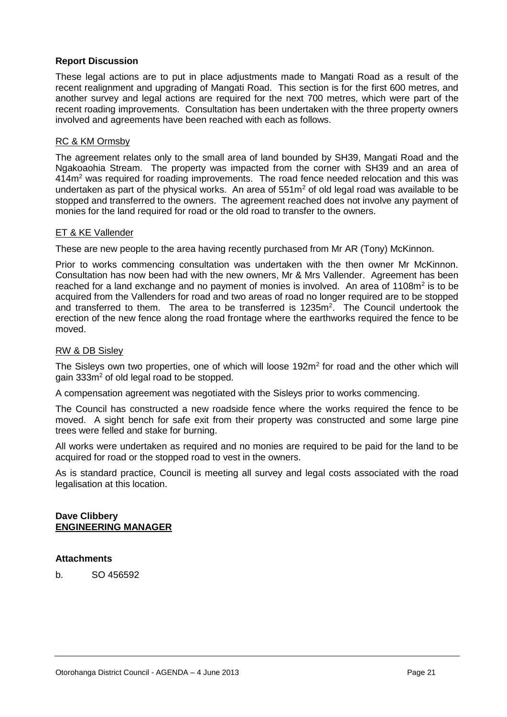#### **Report Discussion**

These legal actions are to put in place adjustments made to Mangati Road as a result of the recent realignment and upgrading of Mangati Road. This section is for the first 600 metres, and another survey and legal actions are required for the next 700 metres, which were part of the recent roading improvements. Consultation has been undertaken with the three property owners involved and agreements have been reached with each as follows.

#### RC & KM Ormsby

The agreement relates only to the small area of land bounded by SH39, Mangati Road and the Ngakoaohia Stream. The property was impacted from the corner with SH39 and an area of 414m<sup>2</sup> was required for roading improvements. The road fence needed relocation and this was undertaken as part of the physical works. An area of  $551m<sup>2</sup>$  of old legal road was available to be stopped and transferred to the owners. The agreement reached does not involve any payment of monies for the land required for road or the old road to transfer to the owners.

#### ET & KE Vallender

These are new people to the area having recently purchased from Mr AR (Tony) McKinnon.

Prior to works commencing consultation was undertaken with the then owner Mr McKinnon. Consultation has now been had with the new owners, Mr & Mrs Vallender. Agreement has been reached for a land exchange and no payment of monies is involved. An area of 1108 $m<sup>2</sup>$  is to be acquired from the Vallenders for road and two areas of road no longer required are to be stopped and transferred to them. The area to be transferred is  $1235m^2$ . The Council undertook the erection of the new fence along the road frontage where the earthworks required the fence to be moved.

#### RW & DB Sisley

The Sisleys own two properties, one of which will loose 192 $m<sup>2</sup>$  for road and the other which will gain 333m<sup>2</sup> of old legal road to be stopped.

A compensation agreement was negotiated with the Sisleys prior to works commencing.

The Council has constructed a new roadside fence where the works required the fence to be moved. A sight bench for safe exit from their property was constructed and some large pine trees were felled and stake for burning.

All works were undertaken as required and no monies are required to be paid for the land to be acquired for road or the stopped road to vest in the owners.

As is standard practice, Council is meeting all survey and legal costs associated with the road legalisation at this location.

#### **Dave Clibbery ENGINEERING MANAGER**

#### **Attachments**

b. SO 456592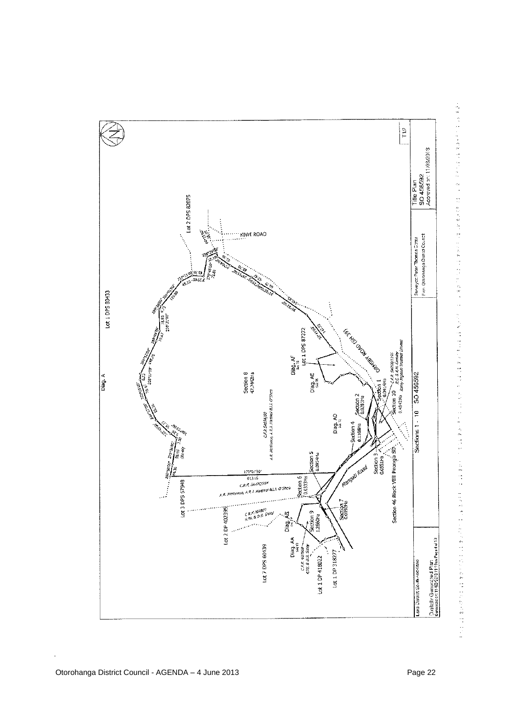

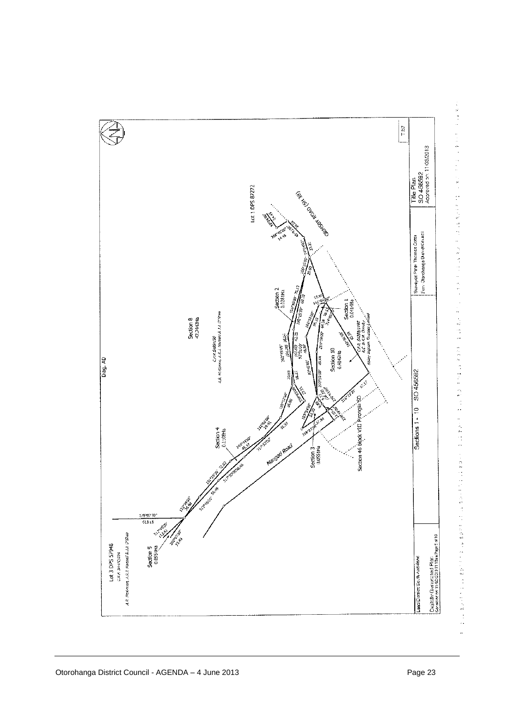

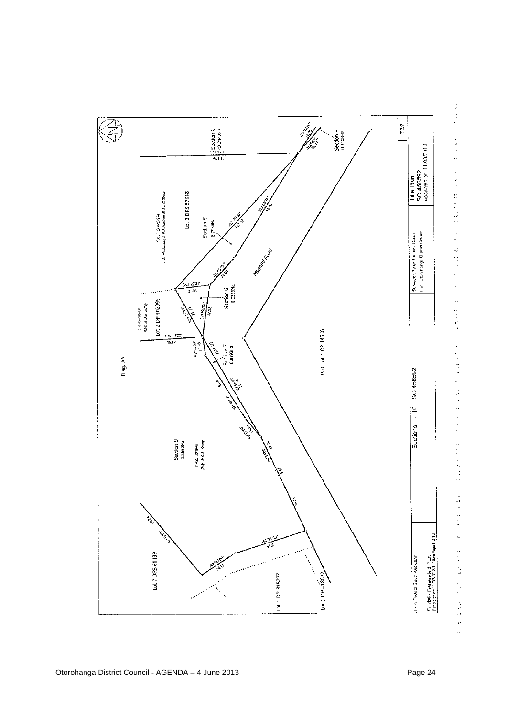

医双核菌素 化自动反射 医自动性脑炎 计自动控制 医白细胞 医白细胞 化二硫化物 医神经性 医心包 医心包 化二硫化物 医二硫酸 医二硫酸 医二硫酸盐 医阿拉伯氏征 医心包的 医阿拉伯氏征 医心包 医三角状腺炎 医心包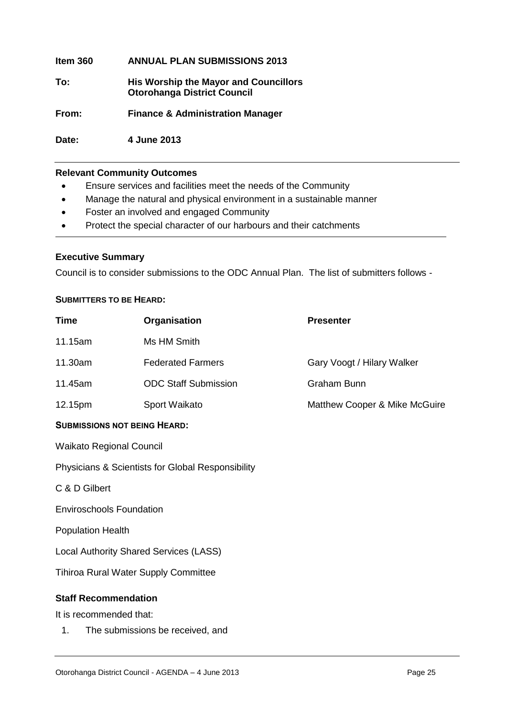| Item 360 | <b>ANNUAL PLAN SUBMISSIONS 2013</b>                                                |
|----------|------------------------------------------------------------------------------------|
| To:      | <b>His Worship the Mayor and Councillors</b><br><b>Otorohanga District Council</b> |
| From:    | <b>Finance &amp; Administration Manager</b>                                        |

**Relevant Community Outcomes**

**Date: 4 June 2013** 

- Ensure services and facilities meet the needs of the Community
- Manage the natural and physical environment in a sustainable manner
- Foster an involved and engaged Community
- Protect the special character of our harbours and their catchments

#### **Executive Summary**

Council is to consider submissions to the ODC Annual Plan. The list of submitters follows -

#### **SUBMITTERS TO BE HEARD:**

| <b>Time</b>                            | Organisation                                      | <b>Presenter</b>              |  |
|----------------------------------------|---------------------------------------------------|-------------------------------|--|
| 11.15am                                | Ms HM Smith                                       |                               |  |
| 11.30am                                | <b>Federated Farmers</b>                          | Gary Voogt / Hilary Walker    |  |
| 11.45am                                | <b>ODC Staff Submission</b>                       | <b>Graham Bunn</b>            |  |
| 12.15pm                                | Sport Waikato                                     | Matthew Cooper & Mike McGuire |  |
| <b>SUBMISSIONS NOT BEING HEARD:</b>    |                                                   |                               |  |
| <b>Waikato Regional Council</b>        |                                                   |                               |  |
|                                        | Physicians & Scientists for Global Responsibility |                               |  |
| C & D Gilbert                          |                                                   |                               |  |
| <b>Enviroschools Foundation</b>        |                                                   |                               |  |
| <b>Population Health</b>               |                                                   |                               |  |
| Local Authority Shared Services (LASS) |                                                   |                               |  |
| Tihiroa Rural Water Supply Committee   |                                                   |                               |  |
| <b>Staff Recommendation</b>            |                                                   |                               |  |
| It is recommended that:                |                                                   |                               |  |
| 1.<br>The submissions be received, and |                                                   |                               |  |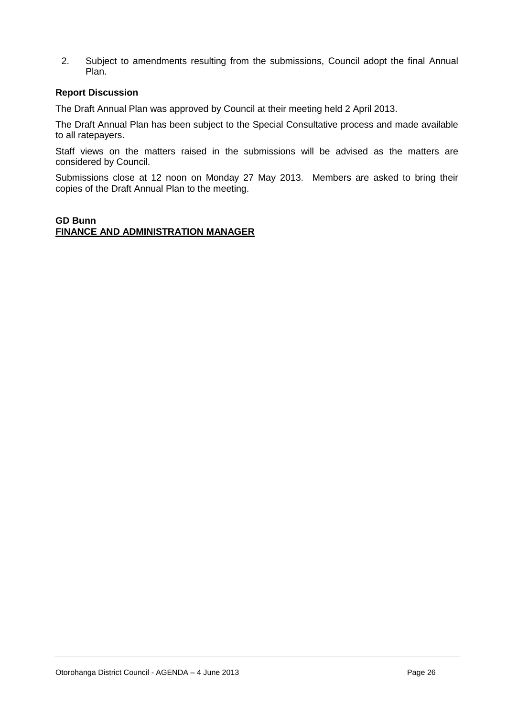2. Subject to amendments resulting from the submissions, Council adopt the final Annual Plan.

#### **Report Discussion**

The Draft Annual Plan was approved by Council at their meeting held 2 April 2013.

The Draft Annual Plan has been subject to the Special Consultative process and made available to all ratepayers.

Staff views on the matters raised in the submissions will be advised as the matters are considered by Council.

Submissions close at 12 noon on Monday 27 May 2013. Members are asked to bring their copies of the Draft Annual Plan to the meeting.

#### **GD Bunn FINANCE AND ADMINISTRATION MANAGER**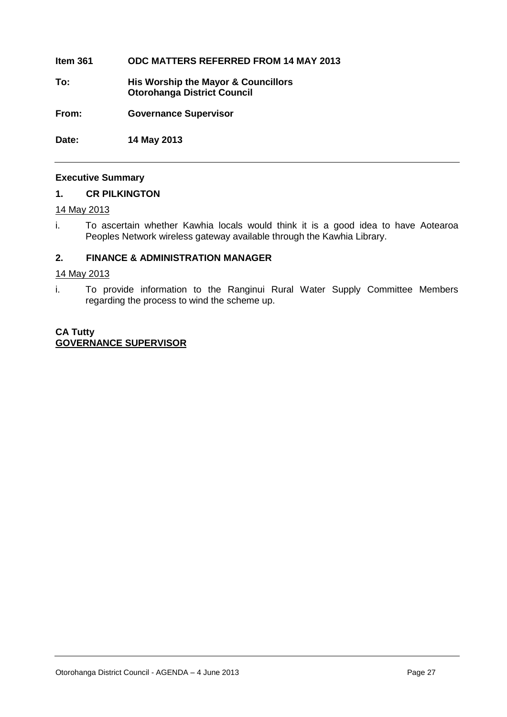#### **Item 361 ODC MATTERS REFERRED FROM 14 MAY 2013**

- **To: His Worship the Mayor & Councillors Otorohanga District Council**
- **From: Governance Supervisor**

**Date: 14 May 2013**

#### **Executive Summary**

#### **1. CR PILKINGTON**

#### 14 May 2013

i. To ascertain whether Kawhia locals would think it is a good idea to have Aotearoa Peoples Network wireless gateway available through the Kawhia Library.

#### **2. FINANCE & ADMINISTRATION MANAGER**

#### 14 May 2013

i. To provide information to the Ranginui Rural Water Supply Committee Members regarding the process to wind the scheme up.

#### **CA Tutty GOVERNANCE SUPERVISOR**